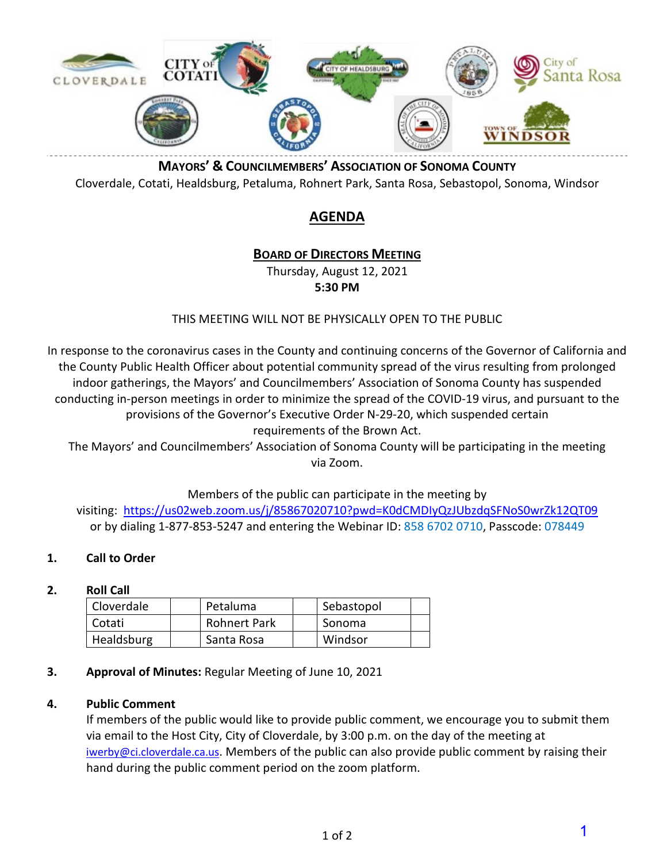

**MAYORS' & COUNCILMEMBERS' ASSOCIATION OF SONOMA COUNTY** Cloverdale, Cotati, Healdsburg, Petaluma, Rohnert Park, Santa Rosa, Sebastopol, Sonoma, Windsor

### **AGENDA**

### **BOARD OF DIRECTORS MEETING**

Thursday, August 12, 2021

**5:30 PM** 

### THIS MEETING WILL NOT BE PHYSICALLY OPEN TO THE PUBLIC

In response to the coronavirus cases in the County and continuing concerns of the Governor of California and the County Public Health Officer about potential community spread of the virus resulting from prolonged indoor gatherings, the Mayors' and Councilmembers' Association of Sonoma County has suspended conducting in-person meetings in order to minimize the spread of the COVID-19 virus, and pursuant to the provisions of the Governor's Executive Order N-29-20, which suspended certain requirements of the Brown Act.

The Mayors' and Councilmembers' Association of Sonoma County will be participating in the meeting via Zoom.

Members of the public can participate in the meeting by

visiting: <https://us02web.zoom.us/j/85867020710?pwd=K0dCMDIyQzJUbzdqSFNoS0wrZk12QT09> or by dialing 1-877-853-5247 and entering the Webinar ID: 858 6702 0710, Passcode: 078449

### **1. Call to Order**

### **2. Roll Call**

| Cloverdale | Petaluma            | Sebastopol |  |
|------------|---------------------|------------|--|
| Cotati     | <b>Rohnert Park</b> | Sonoma     |  |
| Healdsburg | Santa Rosa          | Windsor    |  |

### **3. Approval of Minutes:** Regular Meeting of June 10, 2021

### **4. Public Comment**

If members of the public would like to provide public comment, we encourage you to submit them via email to the Host City, City of Cloverdale, by 3:00 p.m. on the day of the meeting at [iwerby@ci.cloverdale.ca.us.](mailto:iwerby@ci.cloverdale.ca.us) Members of the public can also provide public comment by raising their hand during the public comment period on the zoom platform.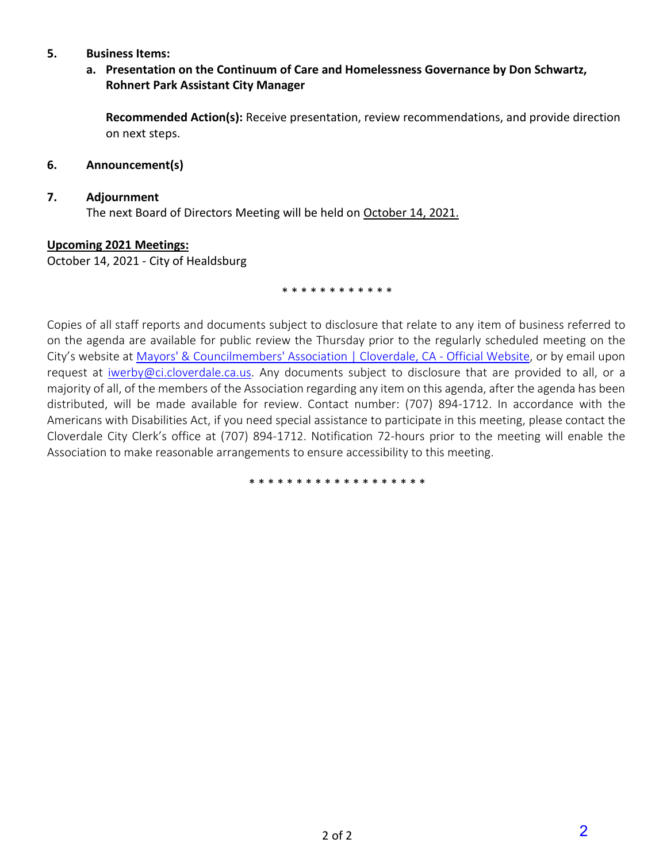#### **5. Business Items:**

### **a. Presentation on the Continuum of Care and Homelessness Governance by Don Schwartz, Rohnert Park Assistant City Manager**

**Recommended Action(s):** Receive presentation, review recommendations, and provide direction on next steps.

#### **6. Announcement(s)**

#### **7. Adjournment**

The next Board of Directors Meeting will be held on October 14, 2021.

#### **Upcoming 2021 Meetings:**

October 14, 2021 - City of Healdsburg

\* \* \* \* \* \* \* \* \* \* \*

Copies of all staff reports and documents subject to disclosure that relate to any item of business referred to on the agenda are available for public review the Thursday prior to the regularly scheduled meeting on the City's website at [Mayors' & Councilmembers' Association | Cloverdale, CA - Official Website,](https://www.cloverdale.net/453/Mayors-Councilmembers-Association) or by email upon request at [iwerby@ci.cloverdale.ca.us.](mailto:iwerby@ci.cloverdale.ca.us) Any documents subject to disclosure that are provided to all, or a majority of all, of the members of the Association regarding any item on this agenda, after the agenda has been distributed, will be made available for review. Contact number: (707) 894-1712. In accordance with the Americans with Disabilities Act, if you need special assistance to participate in this meeting, please contact the Cloverdale City Clerk's office at (707) 894-1712. Notification 72-hours prior to the meeting will enable the Association to make reasonable arrangements to ensure accessibility to this meeting.

\* \* \* \* \* \* \* \* \* \* \* \* \* \* \* \* \* \* \*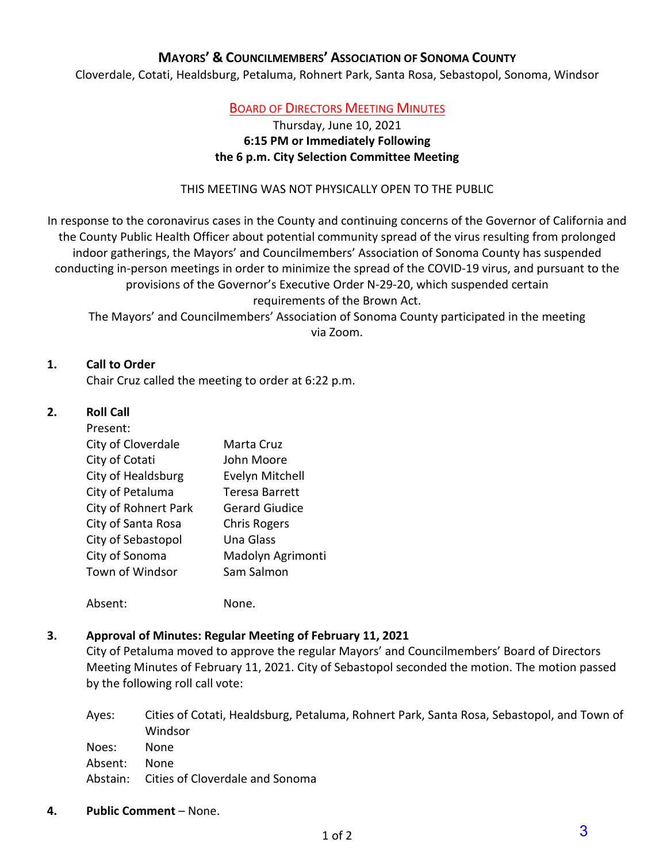### **MAYORS' & COUNCILMEMBERS' ASSOCIATION OF SONOMA COUNTY**

Cloverdale, Cotati, Healdsburg, Petaluma, Rohnert Park, Santa Rosa, Sebastopol, Sonoma, Windsor

### BOARD OF DIRECTORS MEETING MINUTES

### Thursday, June 10, 2021 **6:15 PM or Immediately Following the 6 p.m. City Selection Committee Meeting**

#### THIS MEETING WAS NOT PHYSICALLY OPEN TO THE PUBLIC

In response to the coronavirus cases in the County and continuing concerns of the Governor of California and the County Public Health Officer about potential community spread of the virus resulting from prolonged indoor gatherings, the Mayors' and Councilmembers' Association of Sonoma County has suspended conducting in-person meetings in order to minimize the spread of the COVID-19 virus, and pursuant to the provisions of the Governor's Executive Order N-29-20, which suspended certain requirements of the Brown Act.

The Mayors' and Councilmembers' Association of Sonoma County participated in the meeting via Zoom.

#### **1. Call to Order**

Chair Cruz called the meeting to order at 6:22 p.m.

### **2. Roll Call**

#### Present:

| <b>FIC3CIIL.</b>            |                       |
|-----------------------------|-----------------------|
| City of Cloverdale          | Marta Cruz            |
| City of Cotati              | John Moore            |
| City of Healdsburg          | Evelyn Mitchell       |
| City of Petaluma            | <b>Teresa Barrett</b> |
| <b>City of Rohnert Park</b> | <b>Gerard Giudice</b> |
| City of Santa Rosa          | <b>Chris Rogers</b>   |
| City of Sebastopol          | Una Glass             |
| City of Sonoma              | Madolyn Agrimonti     |
| Town of Windsor             | Sam Salmon            |
|                             |                       |

Absent: None.

#### **3. Approval of Minutes: Regular Meeting of February 11, 2021**

City of Petaluma moved to approve the regular Mayors' and Councilmembers' Board of Directors Meeting Minutes of February 11, 2021. City of Sebastopol seconded the motion. The motion passed by the following roll call vote:

Ayes: Cities of Cotati, Healdsburg, Petaluma, Rohnert Park, Santa Rosa, Sebastopol, and Town of Windsor Noes: None Absent: None Abstain: Cities of Cloverdale and Sonoma

**4. Public Comment** – None.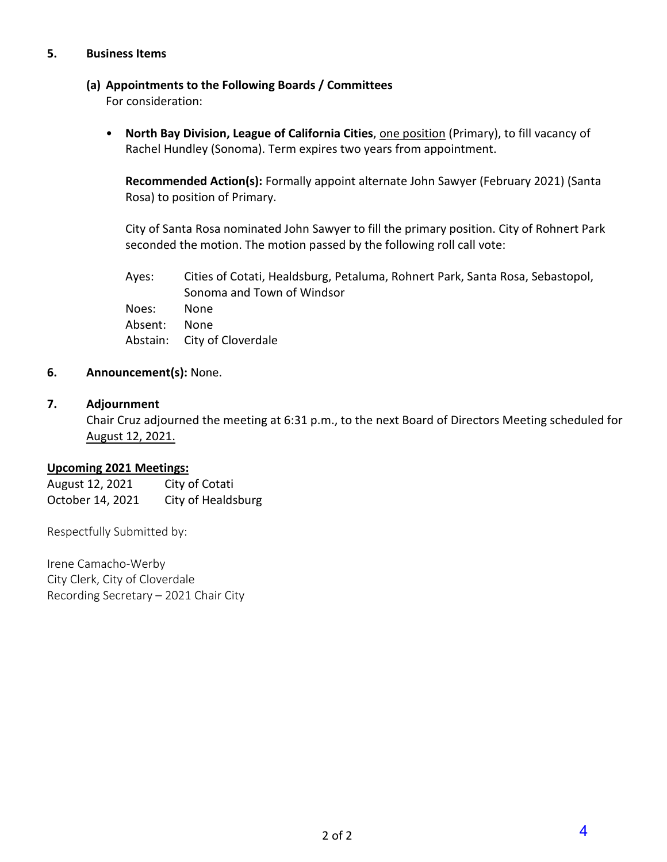#### **5. Business Items**

### **(a) Appointments to the Following Boards / Committees**

For consideration:

• **North Bay Division, League of California Cities**, one position (Primary), to fill vacancy of Rachel Hundley (Sonoma). Term expires two years from appointment.

**Recommended Action(s):** Formally appoint alternate John Sawyer (February 2021) (Santa Rosa) to position of Primary.

City of Santa Rosa nominated John Sawyer to fill the primary position. City of Rohnert Park seconded the motion. The motion passed by the following roll call vote:

Ayes: Cities of Cotati, Healdsburg, Petaluma, Rohnert Park, Santa Rosa, Sebastopol, Sonoma and Town of Windsor Noes: None Absent: None Abstain: City of Cloverdale

### **6. Announcement(s):** None.

### **7. Adjournment**

Chair Cruz adjourned the meeting at 6:31 p.m., to the next Board of Directors Meeting scheduled for August 12, 2021.

#### **Upcoming 2021 Meetings:**

August 12, 2021 City of Cotati October 14, 2021 City of Healdsburg

Respectfully Submitted by:

Irene Camacho-Werby City Clerk, City of Cloverdale Recording Secretary – 2021 Chair City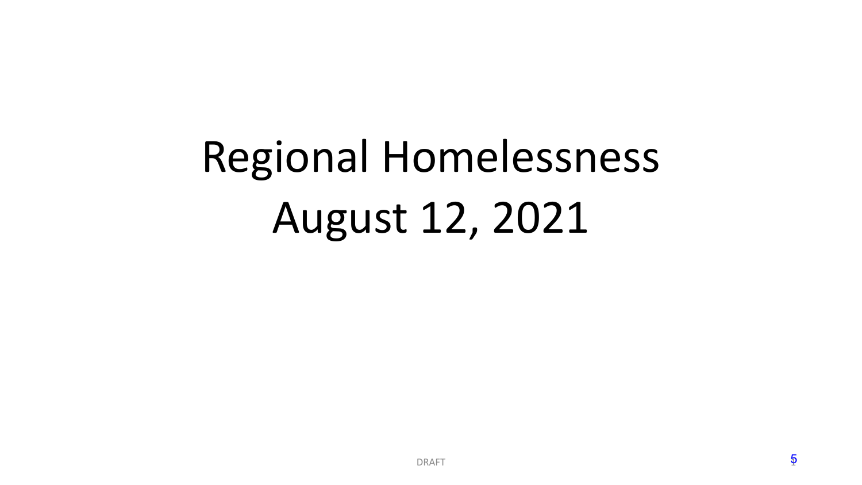# Regional Homelessness August 12, 2021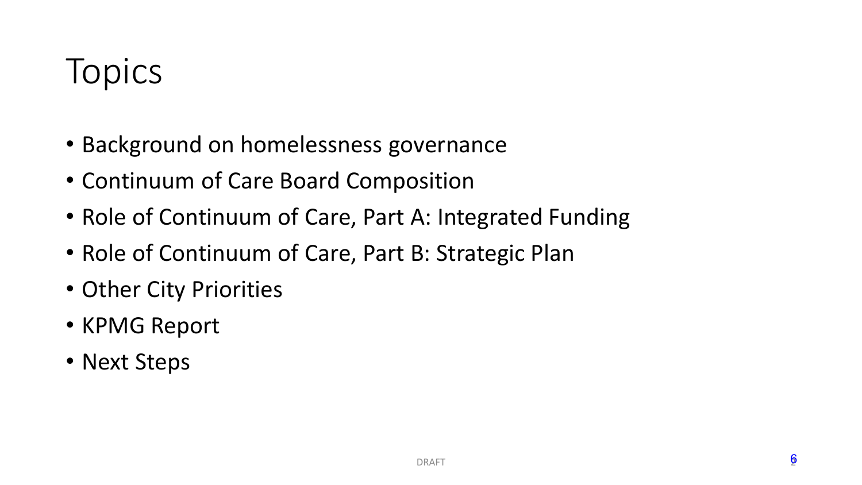# **Topics**

- Background on homelessness governance
- Continuum of Care Board Composition
- Role of Continuum of Care, Part A: Integrated Funding
- Role of Continuum of Care, Part B: Strategic Plan
- Other City Priorities
- KPMG Report
- Next Steps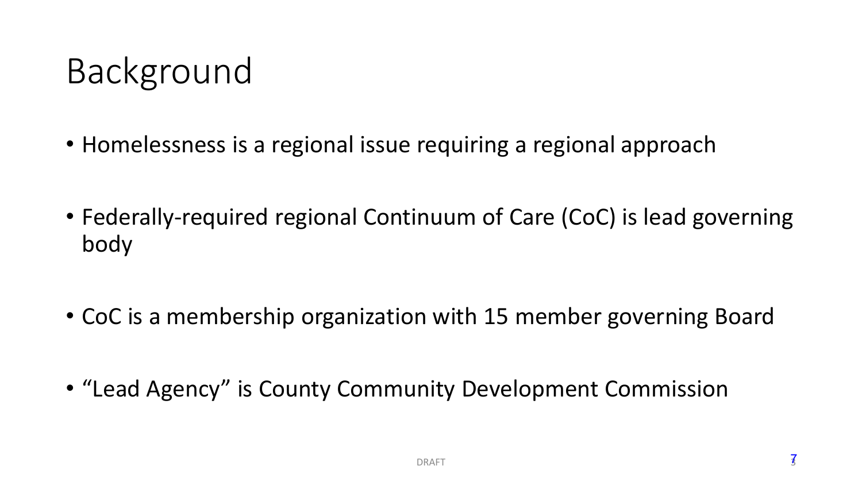# Background

- Homelessness is a regional issue requiring a regional approach
- Federally-required regional Continuum of Care (CoC) is lead governing body
- CoC is a membership organization with 15 member governing Board
- "Lead Agency" is County Community Development Commission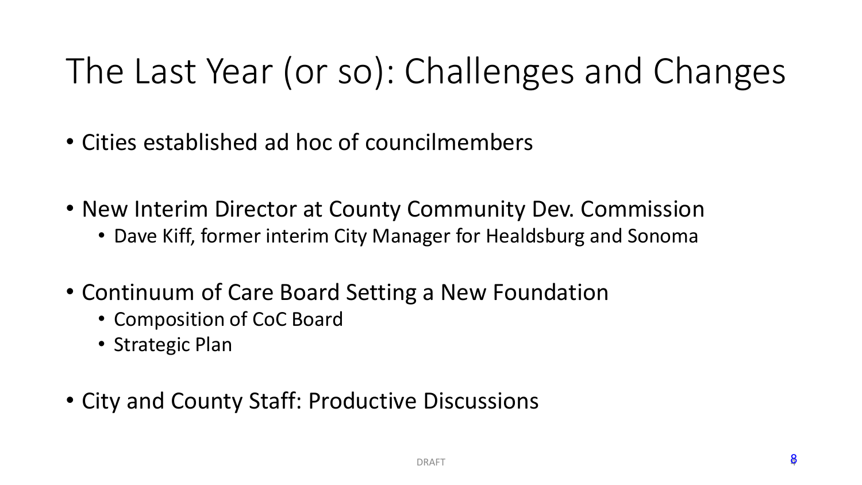# The Last Year (or so): Challenges and Changes

- Cities established ad hoc of councilmembers
- New Interim Director at County Community Dev. Commission
	- Dave Kiff, former interim City Manager for Healdsburg and Sonoma
- Continuum of Care Board Setting a New Foundation
	- Composition of CoC Board
	- Strategic Plan
- City and County Staff: Productive Discussions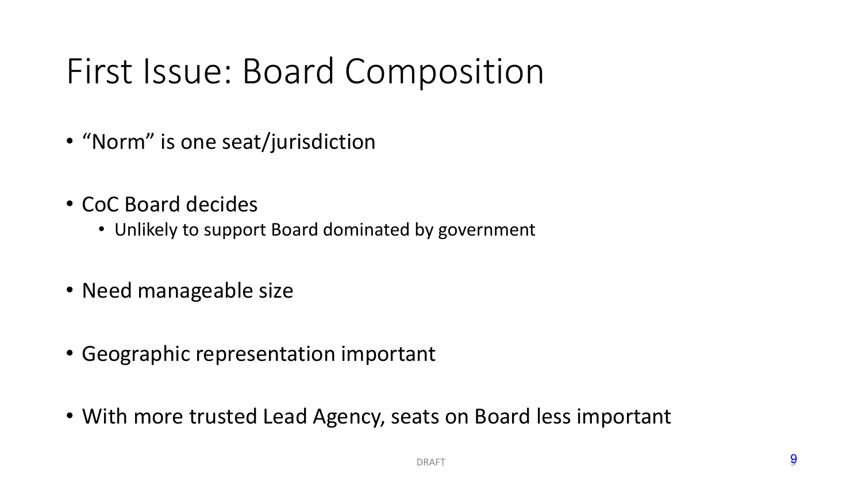# First Issue: Board Composition

- "Norm" is one seat/jurisdiction
- CoC Board decides
	- Unlikely to support Board dominated by government
- Need manageable size
- Geographic representation important
- With more trusted Lead Agency, seats on Board less important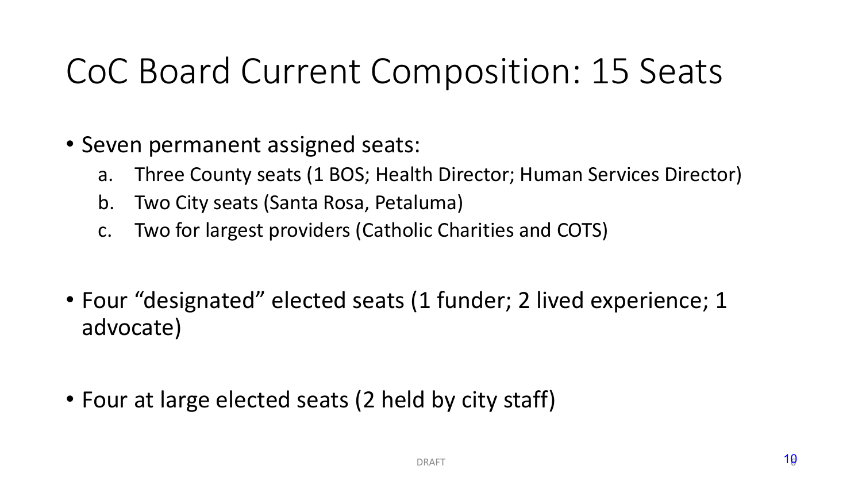# CoC Board Current Composition: 15 Seats

- Seven permanent assigned seats:
	- a. Three County seats (1 BOS; Health Director; Human Services Director)
	- b. Two City seats (Santa Rosa, Petaluma)
	- c. Two for largest providers (Catholic Charities and COTS)
- Four "designated" elected seats (1 funder; 2 lived experience; 1 advocate)
- Four at large elected seats (2 held by city staff)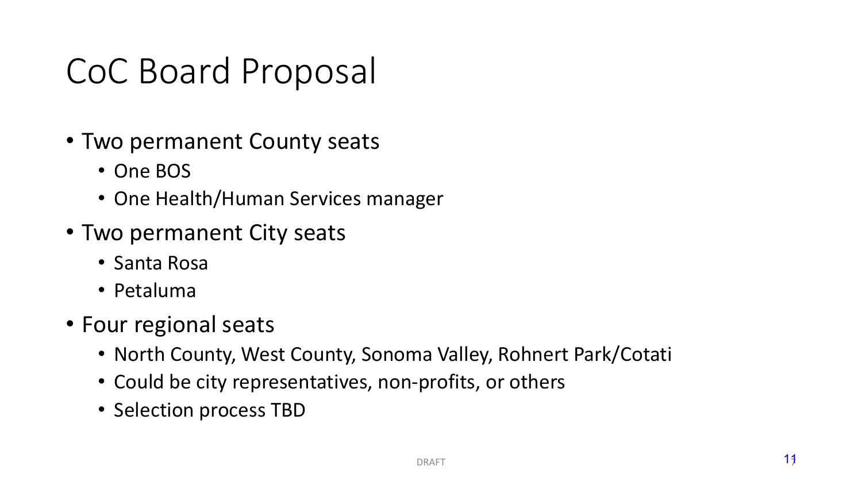# CoC Board Proposal

- Two permanent County seats
	- One BOS
	- One Health/Human Services manager
- Two permanent City seats
	- Santa Rosa
	- Petaluma
- Four regional seats
	- North County, West County, Sonoma Valley, Rohnert Park/Cotati
	- Could be city representatives, non-profits, or others
	- Selection process TBD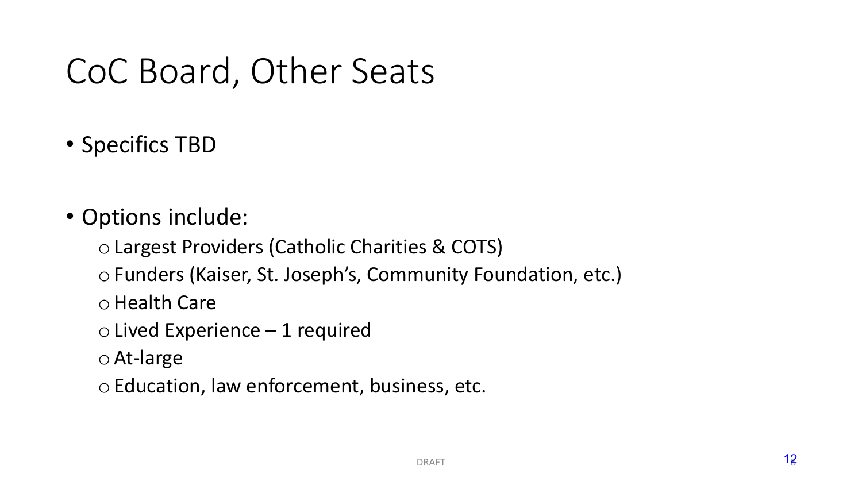# CoC Board, Other Seats

- Specifics TBD
- Options include:
	- o Largest Providers (Catholic Charities & COTS)
	- o Funders (Kaiser, St. Joseph's, Community Foundation, etc.)
	- oHealth Care
	- $\circ$  Lived Experience 1 required
	- o At-large
	- o Education, law enforcement, business, etc.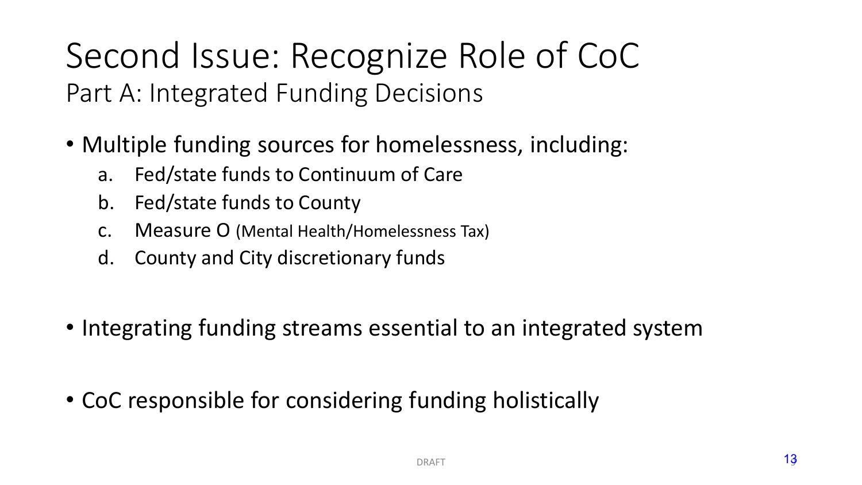Second Issue: Recognize Role of CoC Part A: Integrated Funding Decisions

- Multiple funding sources for homelessness, including:
	- a. Fed/state funds to Continuum of Care
	- b. Fed/state funds to County
	- c. Measure O (Mental Health/Homelessness Tax)
	- d. County and City discretionary funds
- Integrating funding streams essential to an integrated system
- CoC responsible for considering funding holistically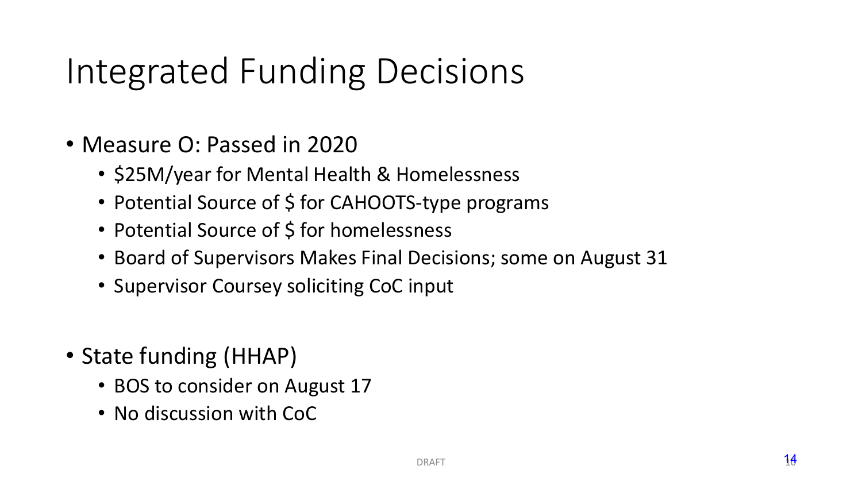# Integrated Funding Decisions

- Measure O: Passed in 2020
	- \$25M/year for Mental Health & Homelessness
	- Potential Source of \$ for CAHOOTS-type programs
	- Potential Source of \$ for homelessness
	- Board of Supervisors Makes Final Decisions; some on August 31
	- Supervisor Coursey soliciting CoC input
- State funding (HHAP)
	- BOS to consider on August 17
	- No discussion with CoC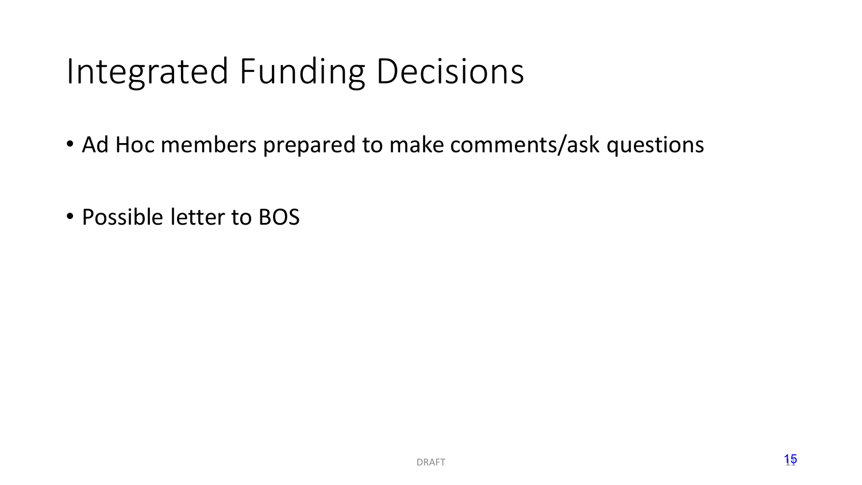# Integrated Funding Decisions

- Ad Hoc members prepared to make comments/ask questions
- Possible letter to BOS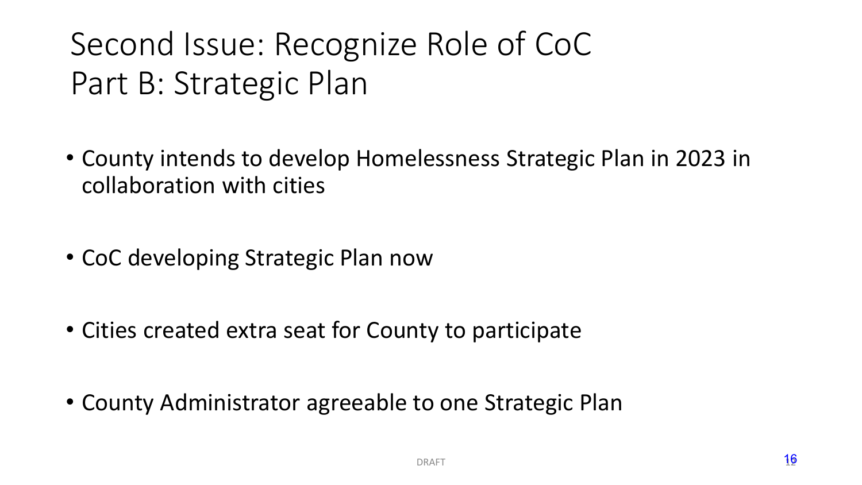## Second Issue: Recognize Role of CoC Part B: Strategic Plan

- County intends to develop Homelessness Strategic Plan in 2023 in collaboration with cities
- CoC developing Strategic Plan now
- Cities created extra seat for County to participate
- County Administrator agreeable to one Strategic Plan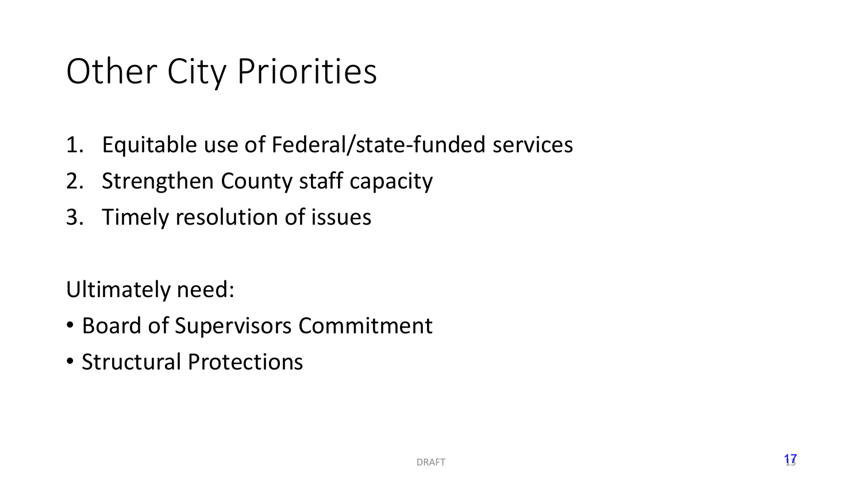# Other City Priorities

- 1. Equitable use of Federal/state-funded services
- 2. Strengthen County staff capacity
- 3. Timely resolution of issues

Ultimately need:

- Board of Supervisors Commitment
- Structural Protections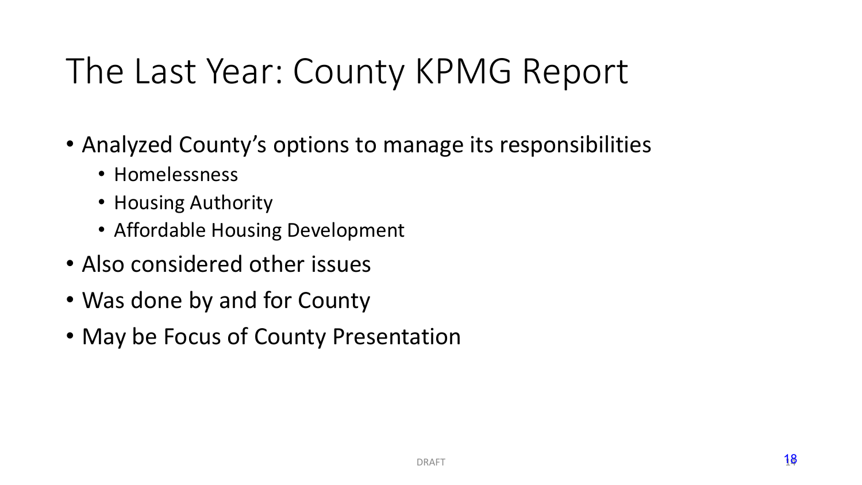# The Last Year: County KPMG Report

- Analyzed County's options to manage its responsibilities
	- Homelessness
	- Housing Authority
	- Affordable Housing Development
- Also considered other issues
- Was done by and for County
- May be Focus of County Presentation